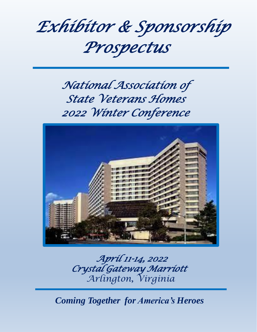

# *National Association of State Veterans Homes 2022 Winter Conference*



*April 11-14, 2022 Crystal Gateway Marriott Arlington, Virginia*

*Coming Together for America's Heroes*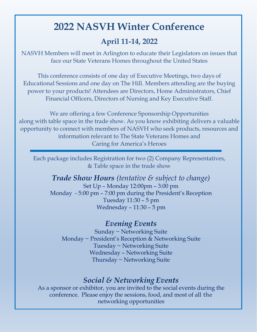## **2022 NASVH Winter Conference**

## **April 11-14, 2022**

NASVH Members will meet in Arlington to educate their Legislators on issues that face our State Veterans Homes throughout the United States

This conference consists of one day of Executive Meetings, two days of Educational Sessions and one day on The Hill. Members attending are the buying power to your products! Attendees are Directors, Home Administrators, Chief Financial Officers, Directors of Nursing and Key Executive Staff.

We are offering a few Conference Sponsorship Opportunities along with table space in the trade show. As you know exhibiting delivers a valuable opportunity to connect with members of NASVH who seek products, resources and information relevant to The State Veterans Homes and Caring for America's Heroes

Each package includes Registration for two (2) Company Representatives, & Table space in the trade show

*Trade Show Hours (tentative & subject to change)*  Set Up – Monday 12:00pm – 3:00 pm Monday - 5:00 pm – 7:00 pm during the President's Reception Tuesday 11:30 – 5 pm Wednesday – 11:30 – 5 pm

### *Evening Events*

Sunday ~ Networking Suite Monday ~ President's Reception & Networking Suite Tuesday ~ Networking Suite Wednesday – Networking Suite Thursday ~ Networking Suite

### *Social & Networking Events*

As a sponsor or exhibitor, you are invited to the social events during the conference. Please enjoy the sessions, food, and most of all the networking opportunities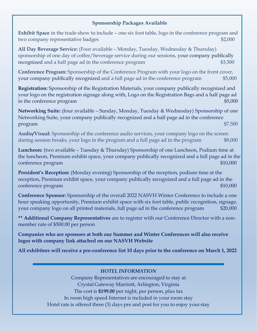#### **Sponsorship Packages Available**

**Exhibit Space** in the trade show to include – one six foot table, logo in the conference program and two company representative badges  $$2,000$ 

**All Day Beverage Service:** (Four available – Monday, Tuesday, Wednesday & Thursday) sponsorship of one day of coffee/beverage service during our sessions, your company publically recognized and a half page ad in the conference program  $$3,500$ 

**Conference Program:** Sponsorship of the Conference Program with your logo on the front cover, your company publically recognized and a full page ad in the conference program \$5,000

**Registration:** Sponsorship of the Registration Materials, your company publically recognized and your logo on the registration signage along with, Logo on the Registration Bags and a half page ad in the conference program  $$5,000$ 

**Networking Suite:** (four available – Sunday, Monday, Tuesday & Wednesday) Sponsorship of one Networking Suite, your company publically recognized and a half page ad in the conference program \$7,500

**Audio/Visual:** Sponsorship of the conference audio services, your company logo on the screen during session breaks, your logo in the program and a full page ad in the program \$8,000

**Luncheon:** (two available – Tuesday & Thursday) Sponsorship of one Luncheon, Podium time at the luncheon, Premium exhibit space, your company publically recognized and a full page ad in the conference program  $$10,000$ 

**President's Reception:** (Monday evening) Sponsorship of the reception, podium time at the reception, Premium exhibit space, your company publically recognized and a full page ad in the conference program  $$10,000$ 

**Conference Sponsor:** Sponsorship of the overall 2022 NASVH Winter Conference to include a one hour speaking opportunity, Premium exhibit space with six foot table, public recognition, signage, your company logo on all printed materials, full page ad in the conference program  $$20,000$ 

**\*\* Additional Company Representatives** are to register with our Conference Director with a nonmember rate of \$500.00 per person

**Companies who are sponsors at both our Summer and Winter Conferences will also receive logos with company link attached on our NASVH Website**

**All exhibitors will receive a pre-conference list 10 days prior to the conference on March 1, 2022**

#### *HOTEL INFORMATION*

Company Representatives are encouraged to stay at Crystal Gateway Marriott, Arlington, Virginia The cost is **\$199.00** per night, per person, plus tax In room high speed Internet is included in your room stay Hotel rate is offered three (3) days pre and post for you to enjoy your stay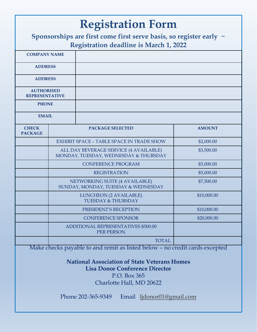| <b>Registration Form</b>                                                                                                 |  |                                                                                                                                                                                                                         |               |  |
|--------------------------------------------------------------------------------------------------------------------------|--|-------------------------------------------------------------------------------------------------------------------------------------------------------------------------------------------------------------------------|---------------|--|
| Sponsorships are first come first serve basis, so register early $\sim$<br><b>Registration deadline is March 1, 2022</b> |  |                                                                                                                                                                                                                         |               |  |
| <b>COMPANY NAME</b>                                                                                                      |  |                                                                                                                                                                                                                         |               |  |
| <b>ADDRESS</b>                                                                                                           |  |                                                                                                                                                                                                                         |               |  |
| <b>ADDRESS</b>                                                                                                           |  |                                                                                                                                                                                                                         |               |  |
| <b>AUTHORISED</b><br><b>REPRESENTATIVE</b>                                                                               |  |                                                                                                                                                                                                                         |               |  |
| <b>PHONE</b>                                                                                                             |  |                                                                                                                                                                                                                         |               |  |
| <b>EMAIL</b>                                                                                                             |  |                                                                                                                                                                                                                         |               |  |
| <b>CHECK</b><br><b>PACKAGE</b>                                                                                           |  | <b>PACKAGE SELECTED</b>                                                                                                                                                                                                 | <b>AMOUNT</b> |  |
|                                                                                                                          |  | <b>EXHIBIT SPACE - TABLE SPACE IN TRADE SHOW</b>                                                                                                                                                                        | \$2,000.00    |  |
|                                                                                                                          |  | ALL DAY BEVERAGE SERVICE (4 AVAILABLE)<br>MONDAY, TUESDAY, WEDNESDAY & THURSDAY                                                                                                                                         | \$3,500.00    |  |
|                                                                                                                          |  | <b>CONFERENCE PROGRAM</b>                                                                                                                                                                                               | \$5,000.00    |  |
|                                                                                                                          |  | <b>REGISTRATION</b>                                                                                                                                                                                                     | \$5,000.00    |  |
|                                                                                                                          |  | NETWORKING SUITE (4 AVAILABLE)<br>SUNDAY, MONDAY, TUESDAY & WEDNESDAY                                                                                                                                                   | \$7,500.00    |  |
|                                                                                                                          |  | <b>LUNCHEON (2 AVAILABLE)</b><br><b>TUESDAY &amp; THURSDAY</b>                                                                                                                                                          | \$10,000.00   |  |
|                                                                                                                          |  | PRESIDENT'S RECEPTION                                                                                                                                                                                                   | \$10,000.00   |  |
|                                                                                                                          |  | <b>CONFERENCE SPONSOR</b>                                                                                                                                                                                               | \$20,000.00   |  |
| ADDITIONAL REPRESENTATIVES \$500.00<br>PER PERSON                                                                        |  |                                                                                                                                                                                                                         |               |  |
|                                                                                                                          |  | <b>TOTAL</b>                                                                                                                                                                                                            |               |  |
|                                                                                                                          |  | Make checks payable to and remit as listed below - no credit cards excepted<br><b>National Association of State Veterans Homes</b><br><b>Lisa Donor Conference Director</b><br>P.O. Box 365<br>Charlotte Hall, MD 20622 |               |  |
|                                                                                                                          |  | Phone 202-365-9349<br>Email ljdonor01@gmail.com                                                                                                                                                                         |               |  |